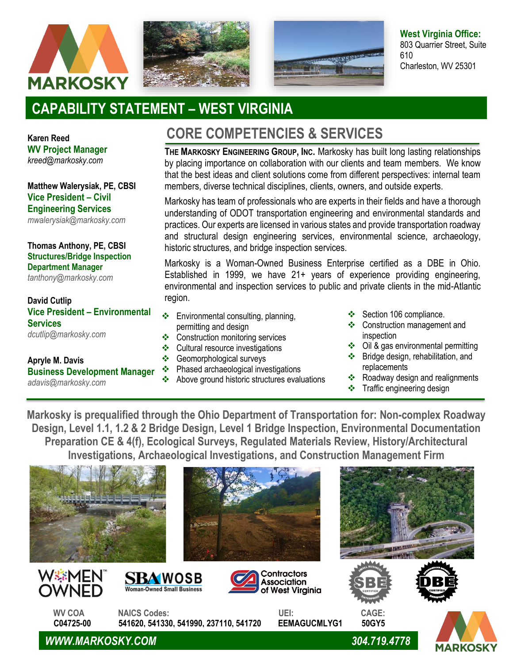





**West Virginia Office:** 803 Quarrier Street, Suite 610 Charleston, WV 25301

## **CAPABILITY STATEMENT – WEST VIRGINIA**

**Karen Reed WV Project Manager** *[kreed@markosky.com](mailto:kreed@markosky.com)*

**Matthew Walerysiak, PE, CBSI Vice President – Civil Engineering Services**  *[mwalerysiak@markosky.com](mailto:mwalerysiak@markosky.com)*

**Thomas Anthony, PE, CBSI Structures/Bridge Inspection Department Manager**

*[tanthony@markosky.com](mailto:tanthony@markosky.com)*

**David Cutlip Vice President – Environmental Services** *[dcutlip@markosky.com](mailto:dcutlip@markosky.com)*

## **Apryle M. Davis Business Development Manager** *[adavis@markosky.com](mailto:adavis@markosky.com)*

## **CORE COMPETENCIES & SERVICES**

**THE MARKOSKY ENGINEERING GROUP, INC.** Markosky has built long lasting relationships by placing importance on collaboration with our clients and team members. We know that the best ideas and client solutions come from different perspectives: internal team members, diverse technical disciplines, clients, owners, and outside experts.

Markosky has team of professionals who are experts in their fields and have a thorough understanding of ODOT transportation engineering and environmental standards and practices. Our experts are licensed in various states and provide transportation roadway and structural design engineering services, environmental science, archaeology, historic structures, and bridge inspection services.

Markosky is a Woman-Owned Business Enterprise certified as a DBE in Ohio. Established in 1999, we have 21+ years of experience providing engineering, environmental and inspection services to public and private clients in the mid-Atlantic region.

- ❖ Environmental consulting, planning, permitting and design
- ❖ Construction monitoring services
- ❖ Cultural resource investigations
- ❖ Geomorphological surveys
- ❖ Phased archaeological investigations
- ❖ Above ground historic structures evaluations
- ❖ Section 106 compliance.
- ❖ Construction management and inspection
- ❖ Oil & gas environmental permitting
- ❖ Bridge design, rehabilitation, and replacements
- ❖ Roadway design and realignments
- ❖ Traffic engineering design

**Markosky is prequalified through the Ohio Department of Transportation for: Non-complex Roadway Design, Level 1.1, 1.2 & 2 Bridge Design, Level 1 Bridge Inspection, Environmental Documentation Preparation CE & 4(f), Ecological Surveys, Regulated Materials Review, History/Architectural Investigations, Archaeological Investigations, and Construction Management Firm** 















 **WV COA NAICS Codes: UEI: CAGE: C04725-00 541620, 541330, 541990, 237110, 541720 EEMAGUCMLYG1 50GY5**

*WWW.MARKOSKY.COM 304.719.4778*